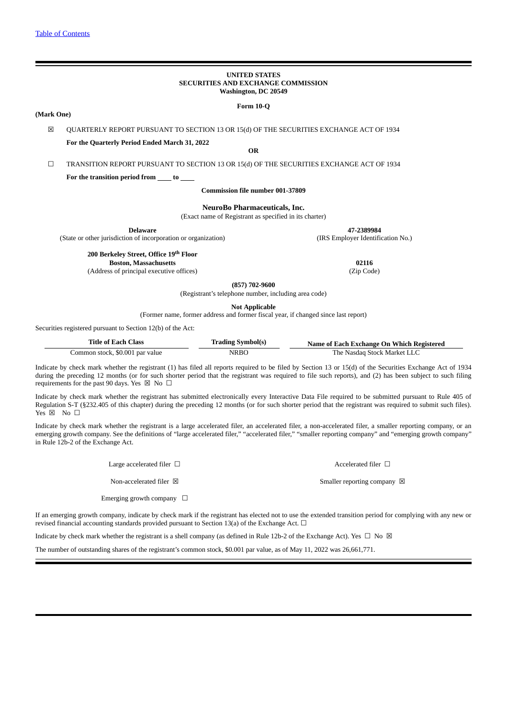**(Mark One)**

#### **UNITED STATES SECURITIES AND EXCHANGE COMMISSION Washington, DC 20549**

#### **Form 10-Q**

# ☒ QUARTERLY REPORT PURSUANT TO SECTION 13 OR 15(d) OF THE SECURITIES EXCHANGE ACT OF 1934 **For the Quarterly Period Ended March 31, 2022**

**OR**

☐ TRANSITION REPORT PURSUANT TO SECTION 13 OR 15(d) OF THE SECURITIES EXCHANGE ACT OF 1934 For the transition period from <u>to</u>

**Commission file number 001-37809**

## **NeuroBo Pharmaceuticals, Inc.**

(Exact name of Registrant as specified in its charter)

**Delaware 47-2389984**

(State or other jurisdiction of incorporation or organization) (IRS Employer Identification No.)

**200 Berkeley Street, Office 19th Floor Boston, Massachusetts 02116**

(Address of principal executive offices) (Zip Code)

**(857) 702-9600**

(Registrant's telephone number, including area code)

**Not Applicable**

(Former name, former address and former fiscal year, if changed since last report)

Securities registered pursuant to Section 12(b) of the Act:

| <b>Title of Each Class</b>      | <b>Trading Symbol(s)</b> | Name of Each Exchange On Which Registered |  |  |  |  |
|---------------------------------|--------------------------|-------------------------------------------|--|--|--|--|
| Common stock, \$0.001 par value | <b>NRBO</b>              | The Nasdag Stock Market LLC               |  |  |  |  |

Indicate by check mark whether the registrant (1) has filed all reports required to be filed by Section 13 or 15(d) of the Securities Exchange Act of 1934 during the preceding 12 months (or for such shorter period that the registrant was required to file such reports), and (2) has been subject to such filing requirements for the past 90 days. Yes  $\boxtimes$  No  $\Box$ 

Indicate by check mark whether the registrant has submitted electronically every Interactive Data File required to be submitted pursuant to Rule 405 of Regulation S-T (§232.405 of this chapter) during the preceding 12 months (or for such shorter period that the registrant was required to submit such files). Yes ⊠ No □

Indicate by check mark whether the registrant is a large accelerated filer, an accelerated filer, a non-accelerated filer, a smaller reporting company, or an emerging growth company. See the definitions of "large accelerated filer," "accelerated filer," "smaller reporting company" and "emerging growth company" in Rule 12b-2 of the Exchange Act.

Large accelerated filer □ <br>
Accelerated filer □

Non-accelerated filer  $\boxtimes$  Smaller reporting company  $\boxtimes$ 

Emerging growth company  $\Box$ 

If an emerging growth company, indicate by check mark if the registrant has elected not to use the extended transition period for complying with any new or revised financial accounting standards provided pursuant to Section 13(a) of the Exchange Act.  $\Box$ 

Indicate by check mark whether the registrant is a shell company (as defined in Rule 12b-2 of the Exchange Act). Yes  $\Box$  No  $\boxtimes$ 

The number of outstanding shares of the registrant's common stock, \$0.001 par value, as of May 11, 2022 was 26,661,771.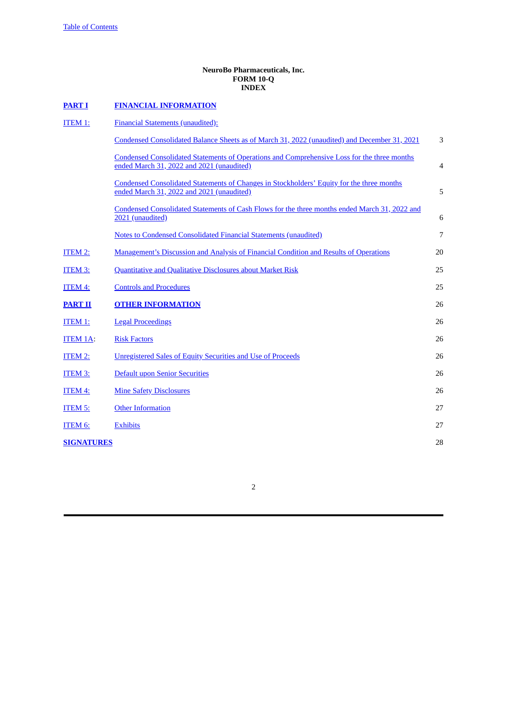## **NeuroBo Pharmaceuticals, Inc. FORM 10-Q INDEX**

<span id="page-1-0"></span>

| <b>PART I</b>     | <b>FINANCIAL INFORMATION</b>                                                                                                                    |                |
|-------------------|-------------------------------------------------------------------------------------------------------------------------------------------------|----------------|
| <b>ITEM 1:</b>    | <b>Financial Statements (unaudited):</b>                                                                                                        |                |
|                   | Condensed Consolidated Balance Sheets as of March 31, 2022 (unaudited) and December 31, 2021                                                    | 3              |
|                   | <b>Condensed Consolidated Statements of Operations and Comprehensive Loss for the three months</b><br>ended March 31, 2022 and 2021 (unaudited) | $\overline{4}$ |
|                   | <b>Condensed Consolidated Statements of Changes in Stockholders' Equity for the three months</b><br>ended March 31, 2022 and 2021 (unaudited)   | 5              |
|                   | Condensed Consolidated Statements of Cash Flows for the three months ended March 31, 2022 and<br>2021 (unaudited)                               | 6              |
|                   | Notes to Condensed Consolidated Financial Statements (unaudited)                                                                                | 7              |
| ITEM 2:           | <b>Management's Discussion and Analysis of Financial Condition and Results of Operations</b>                                                    | 20             |
| <b>ITEM 3:</b>    | Quantitative and Qualitative Disclosures about Market Risk                                                                                      | 25             |
| <b>ITEM 4:</b>    | <b>Controls and Procedures</b>                                                                                                                  | 25             |
| <b>PART II</b>    | <b>OTHER INFORMATION</b>                                                                                                                        | 26             |
| <b>ITEM 1:</b>    | <b>Legal Proceedings</b>                                                                                                                        | 26             |
| <b>ITEM 1A:</b>   | <b>Risk Factors</b>                                                                                                                             | 26             |
| <b>ITEM 2:</b>    | <b>Unregistered Sales of Equity Securities and Use of Proceeds</b>                                                                              | 26             |
| <b>ITEM 3:</b>    | <b>Default upon Senior Securities</b>                                                                                                           | 26             |
| ITEM 4:           | <b>Mine Safety Disclosures</b>                                                                                                                  | 26             |
| <b>ITEM 5:</b>    | <b>Other Information</b>                                                                                                                        | 27             |
| ITEM 6:           | <b>Exhibits</b>                                                                                                                                 | 27             |
| <b>SIGNATURES</b> |                                                                                                                                                 | 28             |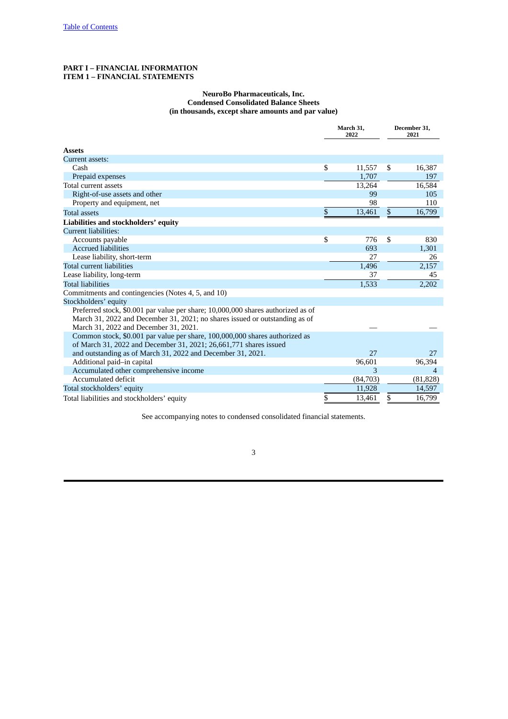## <span id="page-2-1"></span><span id="page-2-0"></span>**PART I – FINANCIAL INFORMATION ITEM 1 – FINANCIAL STATEMENTS**

### **NeuroBo Pharmaceuticals, Inc. Condensed Consolidated Balance Sheets (in thousands, except share amounts and par value)**

<span id="page-2-2"></span>

|                                                                                  | March 31.<br>2022 | December 31,<br>2021 |
|----------------------------------------------------------------------------------|-------------------|----------------------|
| <b>Assets</b>                                                                    |                   |                      |
| <b>Current assets:</b>                                                           |                   |                      |
| Cash                                                                             | \$<br>11,557      | \$<br>16,387         |
| Prepaid expenses                                                                 | 1,707             | 197                  |
| Total current assets                                                             | 13,264            | 16,584               |
| Right-of-use assets and other                                                    | 99                | 105                  |
| Property and equipment, net                                                      | 98                | 110                  |
| <b>Total assets</b>                                                              | \$<br>13,461      | \$<br>16,799         |
| Liabilities and stockholders' equity                                             |                   |                      |
| Current liabilities:                                                             |                   |                      |
| Accounts payable                                                                 | \$<br>776         | \$<br>830            |
| <b>Accrued liabilities</b>                                                       | 693               | 1,301                |
| Lease liability, short-term                                                      | 27                | 26                   |
| Total current liabilities                                                        | 1,496             | 2,157                |
| Lease liability, long-term                                                       | 37                | 45                   |
| <b>Total liabilities</b>                                                         | 1,533             | 2,202                |
| Commitments and contingencies (Notes 4, 5, and 10)                               |                   |                      |
| Stockholders' equity                                                             |                   |                      |
| Preferred stock, \$0.001 par value per share; 10,000,000 shares authorized as of |                   |                      |
| March 31, 2022 and December 31, 2021; no shares issued or outstanding as of      |                   |                      |
| March 31, 2022 and December 31, 2021.                                            |                   |                      |
| Common stock, \$0.001 par value per share, 100,000,000 shares authorized as      |                   |                      |
| of March 31, 2022 and December 31, 2021; 26,661,771 shares issued                |                   |                      |
| and outstanding as of March 31, 2022 and December 31, 2021.                      | 27                | 27                   |
| Additional paid-in capital                                                       | 96,601            | 96,394               |
| Accumulated other comprehensive income                                           | 3                 | 4                    |
| Accumulated deficit                                                              | (84,703)          | (81, 828)            |
| Total stockholders' equity                                                       | 11,928            | 14,597               |
| Total liabilities and stockholders' equity                                       | \$<br>13,461      | \$<br>16,799         |

See accompanying notes to condensed consolidated financial statements.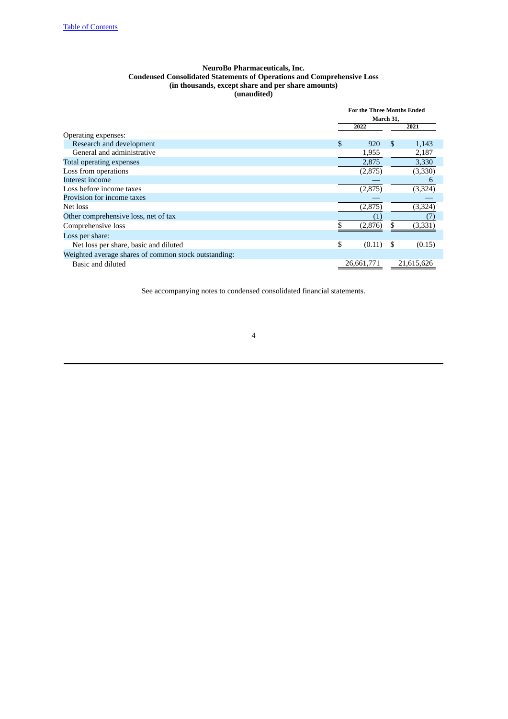## **NeuroBo Pharmaceuticals, Inc. Condensed Consolidated Statements of Operations and Comprehensive Loss (in thousands, except share and per share amounts) (unaudited)**

<span id="page-3-0"></span>

|                                                      |            | <b>For the Three Months Ended</b> |        |  |
|------------------------------------------------------|------------|-----------------------------------|--------|--|
|                                                      |            | March 31,                         |        |  |
|                                                      | 2022       | 2021                              |        |  |
| Operating expenses:                                  |            |                                   |        |  |
| Research and development                             | \$         | \$.<br>920<br>1,143               |        |  |
| General and administrative                           |            | 1,955<br>2,187                    |        |  |
| Total operating expenses                             | 2,875      | 3,330                             |        |  |
| Loss from operations                                 | (2,875)    | (3,330)                           |        |  |
| Interest income                                      |            |                                   | 6      |  |
| Loss before income taxes                             | (2,875)    | (3,324)                           |        |  |
| Provision for income taxes                           |            |                                   |        |  |
| Net loss                                             | (2, 875)   | (3, 324)                          |        |  |
| Other comprehensive loss, net of tax                 |            |                                   |        |  |
| Comprehensive loss                                   | (2,876)    | S<br>(3,331)                      |        |  |
| Loss per share:                                      |            |                                   |        |  |
| Net loss per share, basic and diluted                |            | (0.11)<br>S                       | (0.15) |  |
| Weighted average shares of common stock outstanding: |            |                                   |        |  |
| Basic and diluted                                    | 26,661,771 | 21,615,626                        |        |  |

See accompanying notes to condensed consolidated financial statements.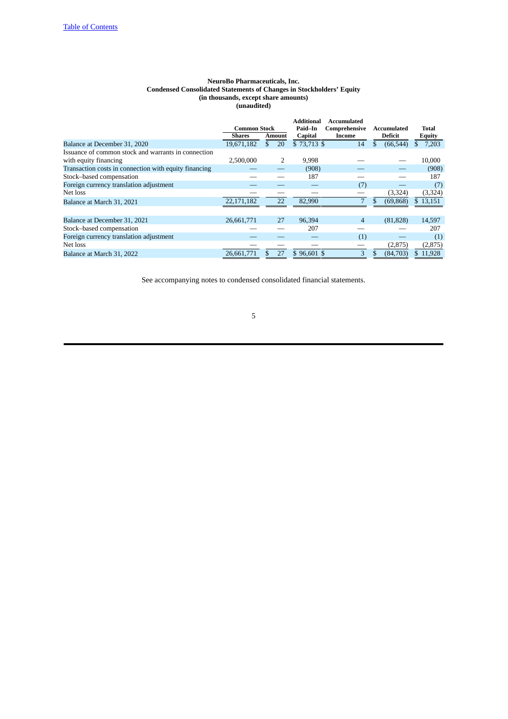#### **NeuroBo Pharmaceuticals, Inc. Condensed Consolidated Statements of Changes in Stockholders' Equity (in thousands, except share amounts) (unaudited)**

<span id="page-4-0"></span>

|                                                       | <b>Common Stock</b><br><b>Shares</b> |     | Amount | <b>Additional</b><br>Paid-In<br>Capital | <b>Accumulated</b><br>Comprehensive<br>Income | Accumulated<br>Deficit | Total<br>Equity |
|-------------------------------------------------------|--------------------------------------|-----|--------|-----------------------------------------|-----------------------------------------------|------------------------|-----------------|
| Balance at December 31, 2020                          | 19.671.182                           | \$. | 20     | $$73.713$ \$                            | 14                                            | \$<br>(66, 544)        | 7,203           |
| Issuance of common stock and warrants in connection   |                                      |     |        |                                         |                                               |                        |                 |
| with equity financing                                 | 2,500,000                            |     |        | 9,998                                   |                                               |                        | 10,000          |
| Transaction costs in connection with equity financing |                                      |     |        | (908)                                   |                                               |                        | (908)           |
| Stock-based compensation                              |                                      |     |        | 187                                     |                                               |                        | 187             |
| Foreign currency translation adjustment               |                                      |     |        |                                         | (7)                                           |                        | (7)             |
| Net loss                                              |                                      |     |        |                                         |                                               | (3,324)                | (3, 324)        |
| Balance at March 31, 2021                             | 22,171,182                           |     | 22     | 82.990                                  | 7                                             | \$<br>(69, 868)        | \$13,151        |
|                                                       |                                      |     |        |                                         |                                               |                        |                 |
| Balance at December 31, 2021                          | 26,661,771                           |     | 27     | 96.394                                  | $\overline{4}$                                | (81, 828)              | 14,597          |
| Stock-based compensation                              |                                      |     |        | 207                                     |                                               |                        | 207             |
| Foreign currency translation adjustment               |                                      |     |        |                                         | (1)                                           |                        | (1)             |
| Net loss                                              |                                      |     |        |                                         |                                               | (2,875)                | (2,875)         |
| Balance at March 31, 2022                             | 26.661.771                           |     | 27     | $$96,601$ \$                            | 3                                             | \$<br>(84,703)         | \$11,928        |

See accompanying notes to condensed consolidated financial statements.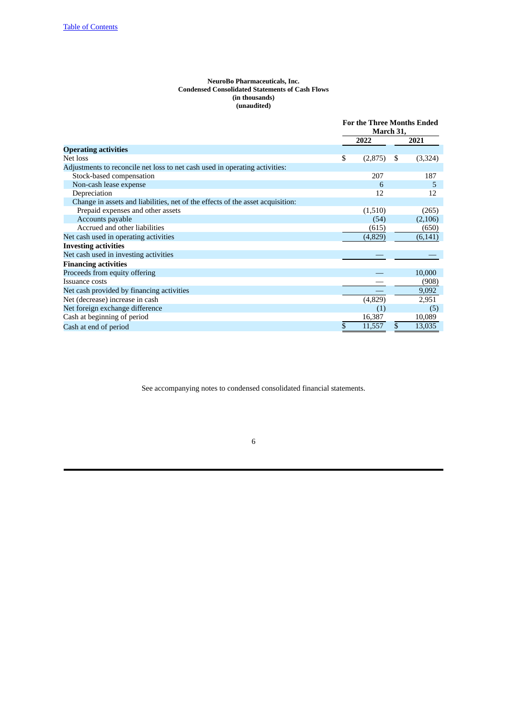### **NeuroBo Pharmaceuticals, Inc. Condensed Consolidated Statements of Cash Flows (in thousands) (unaudited)**

<span id="page-5-0"></span>

|                                                                                | <b>For the Three Months Ended</b><br>March 31, |         |    |          |
|--------------------------------------------------------------------------------|------------------------------------------------|---------|----|----------|
|                                                                                |                                                | 2022    |    | 2021     |
| <b>Operating activities</b>                                                    |                                                |         |    |          |
| Net loss                                                                       | \$                                             | (2,875) | S  | (3,324)  |
| Adjustments to reconcile net loss to net cash used in operating activities:    |                                                |         |    |          |
| Stock-based compensation                                                       |                                                | 207     |    | 187      |
| Non-cash lease expense                                                         |                                                | 6       |    | 5        |
| Depreciation                                                                   |                                                | 12      |    | 12       |
| Change in assets and liabilities, net of the effects of the asset acquisition: |                                                |         |    |          |
| Prepaid expenses and other assets                                              |                                                | (1,510) |    | (265)    |
| Accounts payable                                                               |                                                | (54)    |    | (2,106)  |
| Accrued and other liabilities                                                  |                                                | (615)   |    | (650)    |
| Net cash used in operating activities                                          |                                                | (4,829) |    | (6, 141) |
| <b>Investing activities</b>                                                    |                                                |         |    |          |
| Net cash used in investing activities                                          |                                                |         |    |          |
| <b>Financing activities</b>                                                    |                                                |         |    |          |
| Proceeds from equity offering                                                  |                                                |         |    | 10,000   |
| Issuance costs                                                                 |                                                |         |    | (908)    |
| Net cash provided by financing activities                                      |                                                |         |    | 9,092    |
| Net (decrease) increase in cash                                                |                                                | (4,829) |    | 2,951    |
| Net foreign exchange difference                                                |                                                | (1)     |    | (5)      |
| Cash at beginning of period                                                    |                                                | 16,387  |    | 10,089   |
| Cash at end of period                                                          | \$                                             | 11,557  | \$ | 13,035   |

See accompanying notes to condensed consolidated financial statements.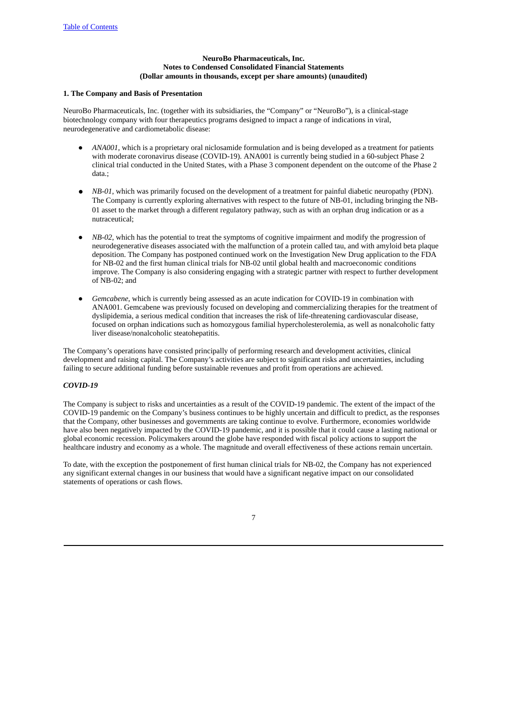## <span id="page-6-0"></span>**1. The Company and Basis of Presentation**

NeuroBo Pharmaceuticals, Inc. (together with its subsidiaries, the "Company" or "NeuroBo"), is a clinical-stage biotechnology company with four therapeutics programs designed to impact a range of indications in viral, neurodegenerative and cardiometabolic disease:

- *ANA001*, which is a proprietary oral niclosamide formulation and is being developed as a treatment for patients with moderate coronavirus disease (COVID-19). ANA001 is currently being studied in a 60-subject Phase 2 clinical trial conducted in the United States, with a Phase 3 component dependent on the outcome of the Phase 2 data.;
- *NB-01*, which was primarily focused on the development of a treatment for painful diabetic neuropathy (PDN). The Company is currently exploring alternatives with respect to the future of NB-01, including bringing the NB-01 asset to the market through a different regulatory pathway, such as with an orphan drug indication or as a nutraceutical;
- *NB-02*, which has the potential to treat the symptoms of cognitive impairment and modify the progression of neurodegenerative diseases associated with the malfunction of a protein called tau, and with amyloid beta plaque deposition. The Company has postponed continued work on the Investigation New Drug application to the FDA for NB-02 and the first human clinical trials for NB-02 until global health and macroeconomic conditions improve. The Company is also considering engaging with a strategic partner with respect to further development of NB-02; and
- Gemcabene, which is currently being assessed as an acute indication for COVID-19 in combination with ANA001. Gemcabene was previously focused on developing and commercializing therapies for the treatment of dyslipidemia, a serious medical condition that increases the risk of life-threatening cardiovascular disease, focused on orphan indications such as homozygous familial hypercholesterolemia, as well as nonalcoholic fatty liver disease/nonalcoholic steatohepatitis.

The Company's operations have consisted principally of performing research and development activities, clinical development and raising capital. The Company's activities are subject to significant risks and uncertainties, including failing to secure additional funding before sustainable revenues and profit from operations are achieved.

## *COVID-19*

The Company is subject to risks and uncertainties as a result of the COVID-19 pandemic. The extent of the impact of the COVID-19 pandemic on the Company's business continues to be highly uncertain and difficult to predict, as the responses that the Company, other businesses and governments are taking continue to evolve. Furthermore, economies worldwide have also been negatively impacted by the COVID-19 pandemic, and it is possible that it could cause a lasting national or global economic recession. Policymakers around the globe have responded with fiscal policy actions to support the healthcare industry and economy as a whole. The magnitude and overall effectiveness of these actions remain uncertain.

To date, with the exception the postponement of first human clinical trials for NB-02, the Company has not experienced any significant external changes in our business that would have a significant negative impact on our consolidated statements of operations or cash flows.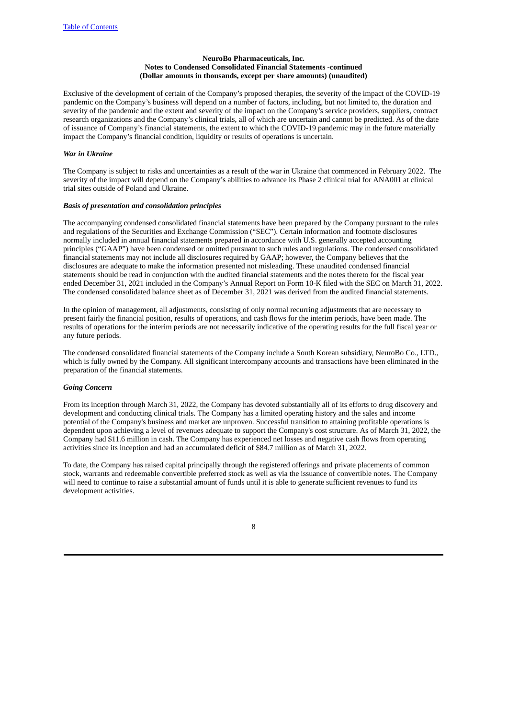Exclusive of the development of certain of the Company's proposed therapies, the severity of the impact of the COVID-19 pandemic on the Company's business will depend on a number of factors, including, but not limited to, the duration and severity of the pandemic and the extent and severity of the impact on the Company's service providers, suppliers, contract research organizations and the Company's clinical trials, all of which are uncertain and cannot be predicted. As of the date of issuance of Company's financial statements, the extent to which the COVID-19 pandemic may in the future materially impact the Company's financial condition, liquidity or results of operations is uncertain.

## *War in Ukraine*

The Company is subject to risks and uncertainties as a result of the war in Ukraine that commenced in February 2022. The severity of the impact will depend on the Company's abilities to advance its Phase 2 clinical trial for ANA001 at clinical trial sites outside of Poland and Ukraine.

### *Basis of presentation and consolidation principles*

The accompanying condensed consolidated financial statements have been prepared by the Company pursuant to the rules and regulations of the Securities and Exchange Commission ("SEC"). Certain information and footnote disclosures normally included in annual financial statements prepared in accordance with U.S. generally accepted accounting principles ("GAAP") have been condensed or omitted pursuant to such rules and regulations. The condensed consolidated financial statements may not include all disclosures required by GAAP; however, the Company believes that the disclosures are adequate to make the information presented not misleading. These unaudited condensed financial statements should be read in conjunction with the audited financial statements and the notes thereto for the fiscal year ended December 31, 2021 included in the Company's Annual Report on Form 10-K filed with the SEC on March 31, 2022. The condensed consolidated balance sheet as of December 31, 2021 was derived from the audited financial statements.

In the opinion of management, all adjustments, consisting of only normal recurring adjustments that are necessary to present fairly the financial position, results of operations, and cash flows for the interim periods, have been made. The results of operations for the interim periods are not necessarily indicative of the operating results for the full fiscal year or any future periods.

The condensed consolidated financial statements of the Company include a South Korean subsidiary, NeuroBo Co., LTD., which is fully owned by the Company. All significant intercompany accounts and transactions have been eliminated in the preparation of the financial statements.

### *Going Concern*

From its inception through March 31, 2022, the Company has devoted substantially all of its efforts to drug discovery and development and conducting clinical trials. The Company has a limited operating history and the sales and income potential of the Company's business and market are unproven. Successful transition to attaining profitable operations is dependent upon achieving a level of revenues adequate to support the Company's cost structure. As of March 31, 2022, the Company had \$11.6 million in cash. The Company has experienced net losses and negative cash flows from operating activities since its inception and had an accumulated deficit of \$84.7 million as of March 31, 2022.

To date, the Company has raised capital principally through the registered offerings and private placements of common stock, warrants and redeemable convertible preferred stock as well as via the issuance of convertible notes. The Company will need to continue to raise a substantial amount of funds until it is able to generate sufficient revenues to fund its development activities.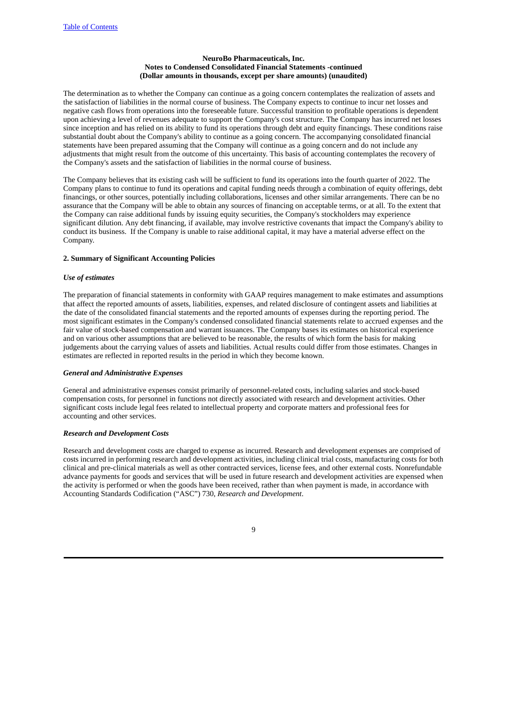The determination as to whether the Company can continue as a going concern contemplates the realization of assets and the satisfaction of liabilities in the normal course of business. The Company expects to continue to incur net losses and negative cash flows from operations into the foreseeable future. Successful transition to profitable operations is dependent upon achieving a level of revenues adequate to support the Company's cost structure. The Company has incurred net losses since inception and has relied on its ability to fund its operations through debt and equity financings. These conditions raise substantial doubt about the Company's ability to continue as a going concern. The accompanying consolidated financial statements have been prepared assuming that the Company will continue as a going concern and do not include any adjustments that might result from the outcome of this uncertainty. This basis of accounting contemplates the recovery of the Company's assets and the satisfaction of liabilities in the normal course of business.

The Company believes that its existing cash will be sufficient to fund its operations into the fourth quarter of 2022. The Company plans to continue to fund its operations and capital funding needs through a combination of equity offerings, debt financings, or other sources, potentially including collaborations, licenses and other similar arrangements. There can be no assurance that the Company will be able to obtain any sources of financing on acceptable terms, or at all. To the extent that the Company can raise additional funds by issuing equity securities, the Company's stockholders may experience significant dilution. Any debt financing, if available, may involve restrictive covenants that impact the Company's ability to conduct its business. If the Company is unable to raise additional capital, it may have a material adverse effect on the Company.

#### **2. Summary of Significant Accounting Policies**

### *Use of estimates*

The preparation of financial statements in conformity with GAAP requires management to make estimates and assumptions that affect the reported amounts of assets, liabilities, expenses, and related disclosure of contingent assets and liabilities at the date of the consolidated financial statements and the reported amounts of expenses during the reporting period. The most significant estimates in the Company's condensed consolidated financial statements relate to accrued expenses and the fair value of stock-based compensation and warrant issuances. The Company bases its estimates on historical experience and on various other assumptions that are believed to be reasonable, the results of which form the basis for making judgements about the carrying values of assets and liabilities. Actual results could differ from those estimates. Changes in estimates are reflected in reported results in the period in which they become known.

### *General and Administrative Expenses*

General and administrative expenses consist primarily of personnel-related costs, including salaries and stock-based compensation costs, for personnel in functions not directly associated with research and development activities. Other significant costs include legal fees related to intellectual property and corporate matters and professional fees for accounting and other services.

## *Research and Development Costs*

Research and development costs are charged to expense as incurred. Research and development expenses are comprised of costs incurred in performing research and development activities, including clinical trial costs, manufacturing costs for both clinical and pre-clinical materials as well as other contracted services, license fees, and other external costs. Nonrefundable advance payments for goods and services that will be used in future research and development activities are expensed when the activity is performed or when the goods have been received, rather than when payment is made, in accordance with Accounting Standards Codification ("ASC") 730, *Research and Development*.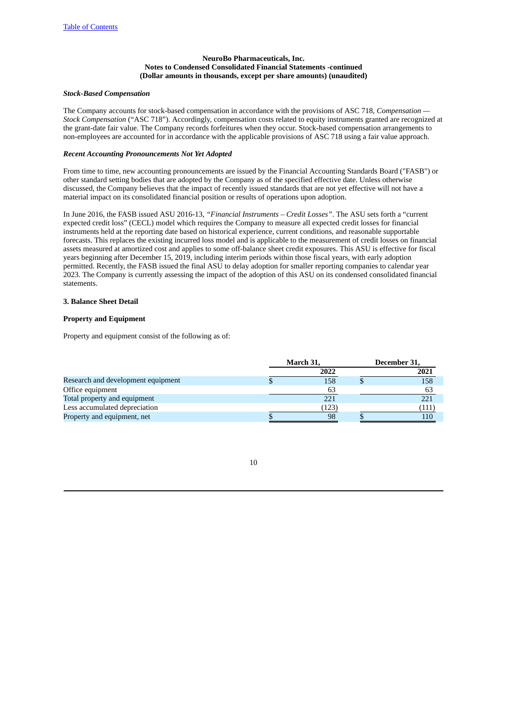## *Stock-Based Compensation*

The Company accounts for stock-based compensation in accordance with the provisions of ASC 718, *Compensation — Stock Compensation* ("ASC 718"). Accordingly, compensation costs related to equity instruments granted are recognized at the grant-date fair value. The Company records forfeitures when they occur. Stock-based compensation arrangements to non-employees are accounted for in accordance with the applicable provisions of ASC 718 using a fair value approach.

## *Recent Accounting Pronouncements Not Yet Adopted*

From time to time, new accounting pronouncements are issued by the Financial Accounting Standards Board ("FASB") or other standard setting bodies that are adopted by the Company as of the specified effective date. Unless otherwise discussed, the Company believes that the impact of recently issued standards that are not yet effective will not have a material impact on its consolidated financial position or results of operations upon adoption.

In June 2016, the FASB issued ASU 2016-13, *"Financial Instruments – Credit Losses"*. The ASU sets forth a "current expected credit loss" (CECL) model which requires the Company to measure all expected credit losses for financial instruments held at the reporting date based on historical experience, current conditions, and reasonable supportable forecasts. This replaces the existing incurred loss model and is applicable to the measurement of credit losses on financial assets measured at amortized cost and applies to some off-balance sheet credit exposures. This ASU is effective for fiscal years beginning after December 15, 2019, including interim periods within those fiscal years, with early adoption permitted. Recently, the FASB issued the final ASU to delay adoption for smaller reporting companies to calendar year 2023. The Company is currently assessing the impact of the adoption of this ASU on its condensed consolidated financial statements.

### **3. Balance Sheet Detail**

### **Property and Equipment**

Property and equipment consist of the following as of:

|                                    | March 31, | December 31, |  |  |
|------------------------------------|-----------|--------------|--|--|
|                                    | 2022      | 2021         |  |  |
| Research and development equipment | 158       | 158          |  |  |
| Office equipment                   | 63        | 63           |  |  |
| Total property and equipment       | 221       | 221          |  |  |
| Less accumulated depreciation      | (123)     | (111)        |  |  |
| Property and equipment, net        | 98        | 110          |  |  |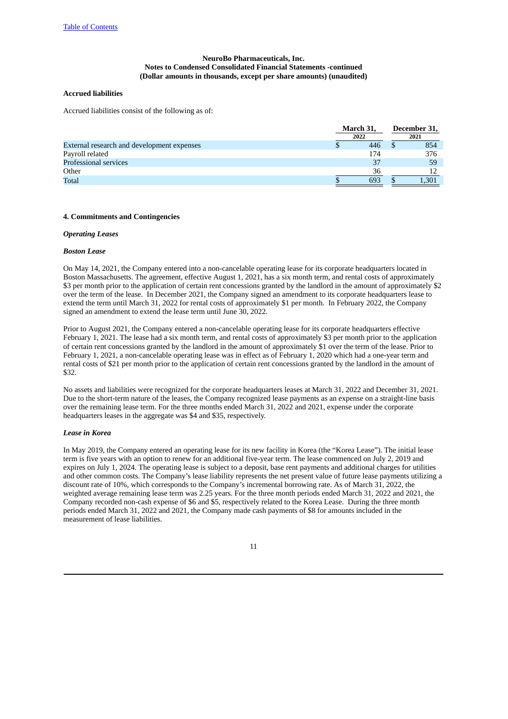## **Accrued liabilities**

Accrued liabilities consist of the following as of:

|                                            | March 31, | December 31, |       |
|--------------------------------------------|-----------|--------------|-------|
|                                            | 2022      |              | 2021  |
| External research and development expenses | 446       |              | 854   |
| Payroll related                            | 174       |              | 376   |
| Professional services                      | 37        |              | 59    |
| Other                                      | 36        |              |       |
| Total                                      | 693       |              | 1.301 |

#### **4. Commitments and Contingencies**

#### *Operating Leases*

#### *Boston Lease*

On May 14, 2021, the Company entered into a non-cancelable operating lease for its corporate headquarters located in Boston Massachusetts. The agreement, effective August 1, 2021, has a six month term, and rental costs of approximately \$3 per month prior to the application of certain rent concessions granted by the landlord in the amount of approximately \$2 over the term of the lease. In December 2021, the Company signed an amendment to its corporate headquarters lease to extend the term until March 31, 2022 for rental costs of approximately \$1 per month. In February 2022, the Company signed an amendment to extend the lease term until June 30, 2022.

Prior to August 2021, the Company entered a non-cancelable operating lease for its corporate headquarters effective February 1, 2021. The lease had a six month term, and rental costs of approximately \$3 per month prior to the application of certain rent concessions granted by the landlord in the amount of approximately \$1 over the term of the lease. Prior to February 1, 2021, a non-cancelable operating lease was in effect as of February 1, 2020 which had a one-year term and rental costs of \$21 per month prior to the application of certain rent concessions granted by the landlord in the amount of \$32.

No assets and liabilities were recognized for the corporate headquarters leases at March 31, 2022 and December 31, 2021. Due to the short-term nature of the leases, the Company recognized lease payments as an expense on a straight-line basis over the remaining lease term. For the three months ended March 31, 2022 and 2021, expense under the corporate headquarters leases in the aggregate was \$4 and \$35, respectively.

#### *Lease in Korea*

In May 2019, the Company entered an operating lease for its new facility in Korea (the "Korea Lease"). The initial lease term is five years with an option to renew for an additional five-year term. The lease commenced on July 2, 2019 and expires on July 1, 2024. The operating lease is subject to a deposit, base rent payments and additional charges for utilities and other common costs. The Company's lease liability represents the net present value of future lease payments utilizing a discount rate of 10%, which corresponds to the Company's incremental borrowing rate. As of March 31, 2022, the weighted average remaining lease term was 2.25 years. For the three month periods ended March 31, 2022 and 2021, the Company recorded non-cash expense of \$6 and \$5, respectively related to the Korea Lease. During the three month periods ended March 31, 2022 and 2021, the Company made cash payments of \$8 for amounts included in the measurement of lease liabilities.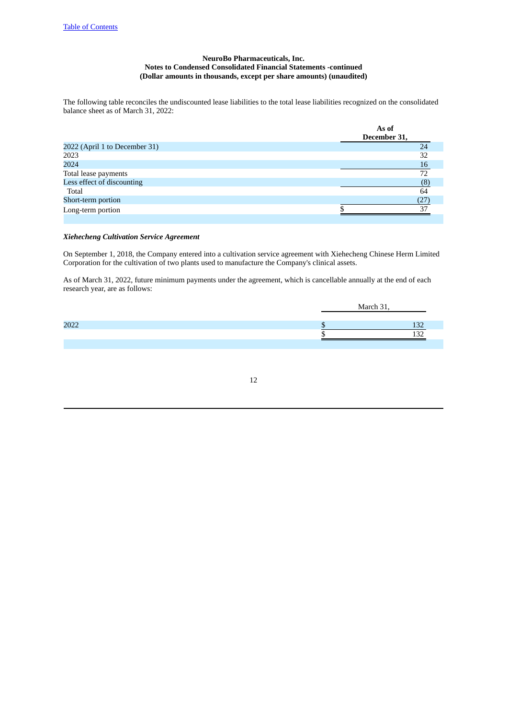The following table reconciles the undiscounted lease liabilities to the total lease liabilities recognized on the consolidated balance sheet as of March 31, 2022:

|                               | As of<br>December 31, |
|-------------------------------|-----------------------|
| 2022 (April 1 to December 31) | 24                    |
| 2023                          | 32                    |
| 2024                          | 16                    |
| Total lease payments          | 72                    |
| Less effect of discounting    | (8)                   |
| Total                         | 64                    |
| Short-term portion            |                       |
| Long-term portion             | 37                    |
|                               |                       |

## *Xiehecheng Cultivation Service Agreement*

On September 1, 2018, the Company entered into a cultivation service agreement with Xiehecheng Chinese Herm Limited Corporation for the cultivation of two plants used to manufacture the Company's clinical assets.

As of March 31, 2022, future minimum payments under the agreement, which is cancellable annually at the end of each research year, are as follows:

|      | March 31 |         |  |
|------|----------|---------|--|
| 2022 |          | .<br>-- |  |
|      |          | בי      |  |
|      |          |         |  |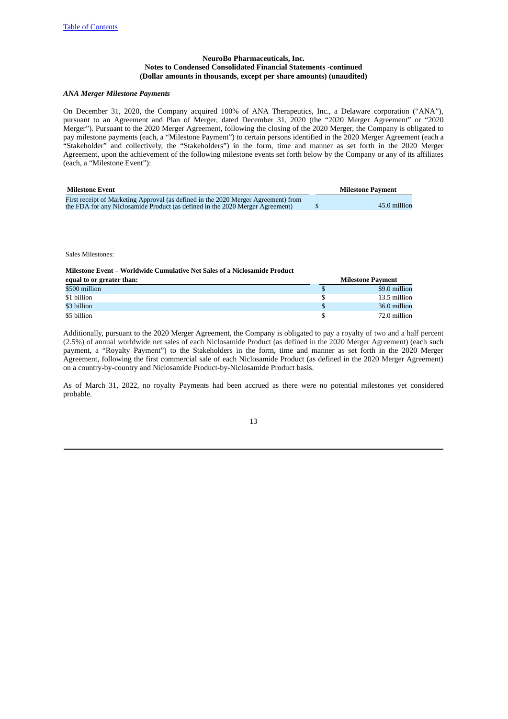## *ANA Merger Milestone Payments*

On December 31, 2020, the Company acquired 100% of ANA Therapeutics, Inc., a Delaware corporation ("ANA"), pursuant to an Agreement and Plan of Merger, dated December 31, 2020 (the "2020 Merger Agreement" or "2020 Merger"). Pursuant to the 2020 Merger Agreement, following the closing of the 2020 Merger, the Company is obligated to pay milestone payments (each, a "Milestone Payment") to certain persons identified in the 2020 Merger Agreement (each a "Stakeholder" and collectively, the "Stakeholders") in the form, time and manner as set forth in the 2020 Merger Agreement, upon the achievement of the following milestone events set forth below by the Company or any of its affiliates (each, a "Milestone Event"):

| <b>Milestone Event</b>                                                             | <b>Milestone Payment</b> |
|------------------------------------------------------------------------------------|--------------------------|
| First receipt of Marketing Approval (as defined in the 2020 Merger Agreement) from |                          |
| the FDA for any Niclosamide Product (as defined in the 2020 Merger Agreement)      | 45.0 million             |

Sales Milestones:

#### **Milestone Event – Worldwide Cumulative Net Sales of a Niclosamide Product**

| equal to or greater than: | <b>Milestone Payment</b> |
|---------------------------|--------------------------|
| \$500 million             | \$9.0 million            |
| \$1 billion               | 13.5 million             |
| \$3 billion               | 36.0 million             |
| \$5 billion               | 72.0 million             |

Additionally, pursuant to the 2020 Merger Agreement, the Company is obligated to pay a royalty of two and a half percent (2.5%) of annual worldwide net sales of each Niclosamide Product (as defined in the 2020 Merger Agreement) (each such payment, a "Royalty Payment") to the Stakeholders in the form, time and manner as set forth in the 2020 Merger Agreement, following the first commercial sale of each Niclosamide Product (as defined in the 2020 Merger Agreement) on a country-by-country and Niclosamide Product-by-Niclosamide Product basis.

As of March 31, 2022, no royalty Payments had been accrued as there were no potential milestones yet considered probable.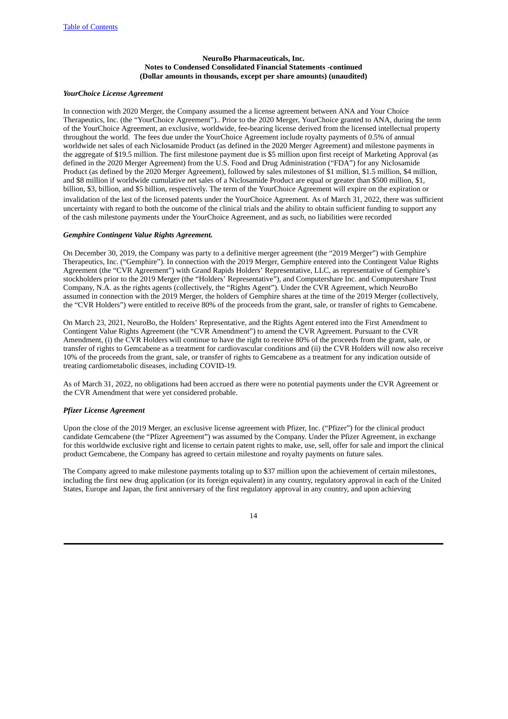#### *YourChoice License Agreement*

In connection with 2020 Merger, the Company assumed the a license agreement between ANA and Your Choice Therapeutics, Inc. (the "YourChoice Agreement").. Prior to the 2020 Merger, YourChoice granted to ANA, during the term of the YourChoice Agreement, an exclusive, worldwide, fee-bearing license derived from the licensed intellectual property throughout the world. The fees due under the YourChoice Agreement include royalty payments of 0.5% of annual worldwide net sales of each Niclosamide Product (as defined in the 2020 Merger Agreement) and milestone payments in the aggregate of \$19.5 million. The first milestone payment due is \$5 million upon first receipt of Marketing Approval (as defined in the 2020 Merger Agreement) from the U.S. Food and Drug Administration ("FDA") for any Niclosamide Product (as defined by the 2020 Merger Agreement), followed by sales milestones of \$1 million, \$1.5 million, \$4 million, and \$8 million if worldwide cumulative net sales of a Niclosamide Product are equal or greater than \$500 million, \$1, billion, \$3, billion, and \$5 billion, respectively. The term of the YourChoice Agreement will expire on the expiration or invalidation of the last of the licensed patents under the YourChoice Agreement. As of March 31, 2022, there was sufficient uncertainty with regard to both the outcome of the clinical trials and the ability to obtain sufficient funding to support any of the cash milestone payments under the YourChoice Agreement, and as such, no liabilities were recorded

#### *Gemphire Contingent Value Rights Agreement.*

On December 30, 2019, the Company was party to a definitive merger agreement (the "2019 Merger") with Gemphire Therapeutics, Inc. ("Gemphire"). In connection with the 2019 Merger, Gemphire entered into the Contingent Value Rights Agreement (the "CVR Agreement") with Grand Rapids Holders' Representative, LLC, as representative of Gemphire's stockholders prior to the 2019 Merger (the "Holders' Representative"), and Computershare Inc. and Computershare Trust Company, N.A. as the rights agents (collectively, the "Rights Agent"). Under the CVR Agreement, which NeuroBo assumed in connection with the 2019 Merger, the holders of Gemphire shares at the time of the 2019 Merger (collectively, the "CVR Holders") were entitled to receive 80% of the proceeds from the grant, sale, or transfer of rights to Gemcabene.

On March 23, 2021, NeuroBo, the Holders' Representative, and the Rights Agent entered into the First Amendment to Contingent Value Rights Agreement (the "CVR Amendment") to amend the CVR Agreement. Pursuant to the CVR Amendment, (i) the CVR Holders will continue to have the right to receive 80% of the proceeds from the grant, sale, or transfer of rights to Gemcabene as a treatment for cardiovascular conditions and (ii) the CVR Holders will now also receive 10% of the proceeds from the grant, sale, or transfer of rights to Gemcabene as a treatment for any indication outside of treating cardiometabolic diseases, including COVID-19.

As of March 31, 2022, no obligations had been accrued as there were no potential payments under the CVR Agreement or the CVR Amendment that were yet considered probable.

### *Pfizer License Agreement*

Upon the close of the 2019 Merger, an exclusive license agreement with Pfizer, Inc. ("Pfizer") for the clinical product candidate Gemcabene (the "Pfizer Agreement") was assumed by the Company. Under the Pfizer Agreement, in exchange for this worldwide exclusive right and license to certain patent rights to make, use, sell, offer for sale and import the clinical product Gemcabene, the Company has agreed to certain milestone and royalty payments on future sales.

The Company agreed to make milestone payments totaling up to \$37 million upon the achievement of certain milestones, including the first new drug application (or its foreign equivalent) in any country, regulatory approval in each of the United States, Europe and Japan, the first anniversary of the first regulatory approval in any country, and upon achieving

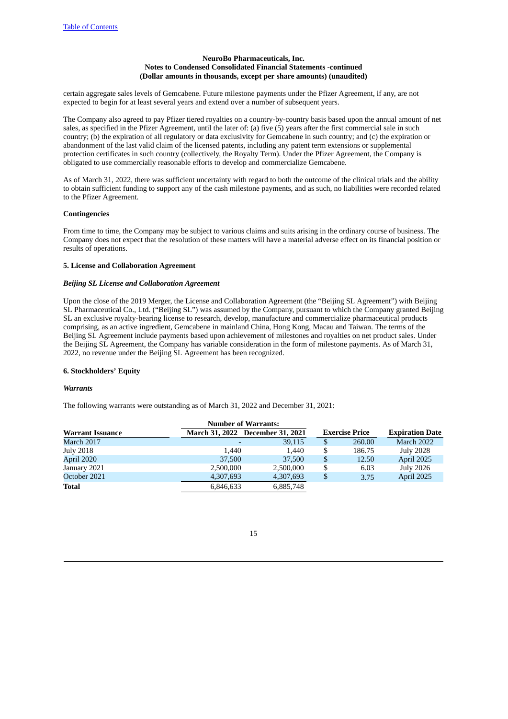certain aggregate sales levels of Gemcabene. Future milestone payments under the Pfizer Agreement, if any, are not expected to begin for at least several years and extend over a number of subsequent years.

The Company also agreed to pay Pfizer tiered royalties on a country-by-country basis based upon the annual amount of net sales, as specified in the Pfizer Agreement, until the later of: (a) five (5) years after the first commercial sale in such country;  $(b)$  the expiration of all regulatory or data exclusivity for Gemcabene in such country; and (c) the expiration or abandonment of the last valid claim of the licensed patents, including any patent term extensions or supplemental protection certificates in such country (collectively, the Royalty Term). Under the Pfizer Agreement, the Company is obligated to use commercially reasonable efforts to develop and commercialize Gemcabene.

As of March 31, 2022, there was sufficient uncertainty with regard to both the outcome of the clinical trials and the ability to obtain sufficient funding to support any of the cash milestone payments, and as such, no liabilities were recorded related to the Pfizer Agreement.

## **Contingencies**

From time to time, the Company may be subject to various claims and suits arising in the ordinary course of business. The Company does not expect that the resolution of these matters will have a material adverse effect on its financial position or results of operations.

## **5. License and Collaboration Agreement**

## *Beijing SL License and Collaboration Agreement*

Upon the close of the 2019 Merger, the License and Collaboration Agreement (the "Beijing SL Agreement") with Beijing SL Pharmaceutical Co., Ltd. ("Beijing SL") was assumed by the Company, pursuant to which the Company granted Beijing SL an exclusive royalty-bearing license to research, develop, manufacture and commercialize pharmaceutical products comprising, as an active ingredient, Gemcabene in mainland China, Hong Kong, Macau and Taiwan. The terms of the Beijing SL Agreement include payments based upon achievement of milestones and royalties on net product sales. Under the Beijing SL Agreement, the Company has variable consideration in the form of milestone payments. As of March 31, 2022, no revenue under the Beijing SL Agreement has been recognized.

## **6. Stockholders' Equity**

### *Warrants*

The following warrants were outstanding as of March 31, 2022 and December 31, 2021:

| <b>Number of Warrants:</b> |                                  |           |    |                       |                        |  |
|----------------------------|----------------------------------|-----------|----|-----------------------|------------------------|--|
| <b>Warrant Issuance</b>    | March 31, 2022 December 31, 2021 |           |    | <b>Exercise Price</b> | <b>Expiration Date</b> |  |
| March 2017                 |                                  | 39,115    | S  | 260.00                | March 2022             |  |
| July 2018                  | 1.440                            | 1.440     | S  | 186.75                | July 2028              |  |
| April 2020                 | 37,500                           | 37,500    | \$ | 12.50                 | April 2025             |  |
| January 2021               | 2,500,000                        | 2,500,000 | S  | 6.03                  | July 2026              |  |
| October 2021               | 4,307,693                        | 4,307,693 | \$ | 3.75                  | April 2025             |  |
| <b>Total</b>               | 6,846,633                        | 6,885,748 |    |                       |                        |  |

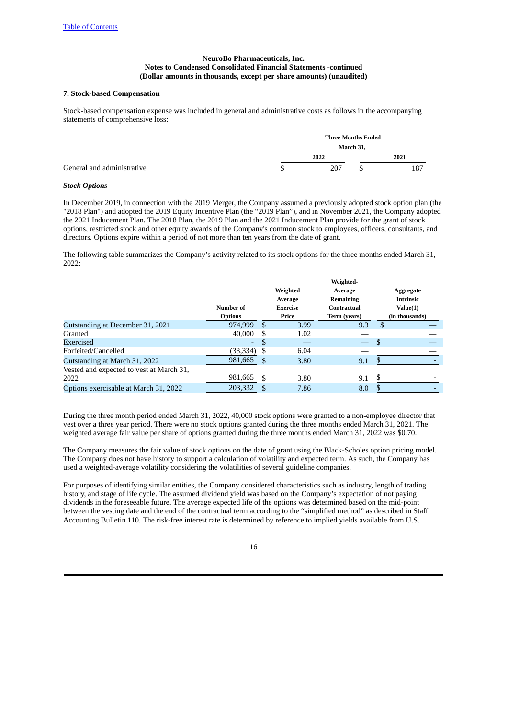### **7. Stock-based Compensation**

Stock-based compensation expense was included in general and administrative costs as follows in the accompanying statements of comprehensive loss:

|                            | <b>Three Months Ended</b> |      |    |      |
|----------------------------|---------------------------|------|----|------|
|                            | March 31,                 |      |    |      |
|                            |                           | 2022 |    | 2021 |
| General and administrative |                           | 207  | \$ | 187  |

## *Stock Options*

In December 2019, in connection with the 2019 Merger, the Company assumed a previously adopted stock option plan (the "2018 Plan") and adopted the 2019 Equity Incentive Plan (the "2019 Plan"), and in November 2021, the Company adopted the 2021 Inducement Plan. The 2018 Plan, the 2019 Plan and the 2021 Inducement Plan provide for the grant of stock options, restricted stock and other equity awards of the Company's common stock to employees, officers, consultants, and directors. Options expire within a period of not more than ten years from the date of grant.

The following table summarizes the Company's activity related to its stock options for the three months ended March 31, 2022:

|                                          |                |               |                 | Weighted-    |   |                  |
|------------------------------------------|----------------|---------------|-----------------|--------------|---|------------------|
|                                          |                |               | Weighted        | Average      |   | Aggregate        |
|                                          |                |               | Average         | Remaining    |   | <b>Intrinsic</b> |
|                                          | Number of      |               | <b>Exercise</b> | Contractual  |   | Value(1)         |
|                                          | <b>Options</b> |               | Price           | Term (vears) |   | (in thousands)   |
| Outstanding at December 31, 2021         | 974.999        | <sup>\$</sup> | 3.99            | 9.3          | S |                  |
| Granted                                  | 40,000         | S             | 1.02            |              |   |                  |
| Exercised                                | ٠              | S             |                 |              | S |                  |
| Forfeited/Cancelled                      | (33,334)       | -S            | 6.04            |              |   |                  |
| Outstanding at March 31, 2022            | 981,665        | -\$           | 3.80            | 9.1          |   |                  |
| Vested and expected to vest at March 31, |                |               |                 |              |   |                  |
| 2022                                     | 981,665        | \$            | 3.80            | 9.1          |   |                  |
| Options exercisable at March 31, 2022    | 203,332        | -\$           | 7.86            | 8.0          |   |                  |

During the three month period ended March 31, 2022, 40,000 stock options were granted to a non-employee director that vest over a three year period. There were no stock options granted during the three months ended March 31, 2021. The weighted average fair value per share of options granted during the three months ended March 31, 2022 was \$0.70.

The Company measures the fair value of stock options on the date of grant using the Black-Scholes option pricing model. The Company does not have history to support a calculation of volatility and expected term. As such, the Company has used a weighted-average volatility considering the volatilities of several guideline companies.

For purposes of identifying similar entities, the Company considered characteristics such as industry, length of trading history, and stage of life cycle. The assumed dividend yield was based on the Company's expectation of not paying dividends in the foreseeable future. The average expected life of the options was determined based on the mid-point between the vesting date and the end of the contractual term according to the "simplified method" as described in Staff Accounting Bulletin 110. The risk-free interest rate is determined by reference to implied yields available from U.S.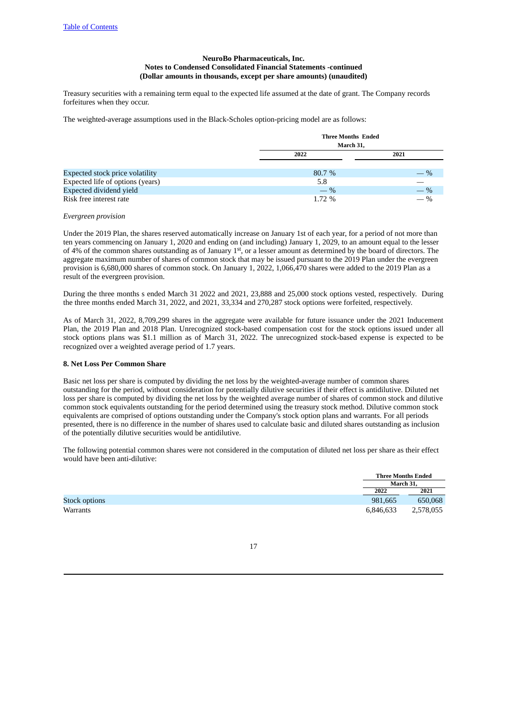Treasury securities with a remaining term equal to the expected life assumed at the date of grant. The Company records forfeitures when they occur.

The weighted-average assumptions used in the Black-Scholes option-pricing model are as follows:

|                                        | <b>Three Months Ended</b><br>March 31, |       |  |  |  |
|----------------------------------------|----------------------------------------|-------|--|--|--|
|                                        | 2022                                   | 2021  |  |  |  |
|                                        |                                        |       |  |  |  |
| <b>Expected stock price volatility</b> | 80.7 %                                 | $-$ % |  |  |  |
| Expected life of options (years)       | 5.8                                    |       |  |  |  |
| Expected dividend yield                | $-$ %                                  | $-$ % |  |  |  |
| Risk free interest rate                | 1.72%                                  | $-$ % |  |  |  |

#### *Evergreen provision*

Under the 2019 Plan, the shares reserved automatically increase on January 1st of each year, for a period of not more than ten years commencing on January 1, 2020 and ending on (and including) January 1, 2029, to an amount equal to the lesser of 4% of the common shares outstanding as of January 1<sup>st</sup>, or a lesser amount as determined by the board of directors. The aggregate maximum number of shares of common stock that may be issued pursuant to the 2019 Plan under the evergreen provision is 6,680,000 shares of common stock. On January 1, 2022, 1,066,470 shares were added to the 2019 Plan as a result of the evergreen provision.

During the three months s ended March 31 2022 and 2021, 23,888 and 25,000 stock options vested, respectively. During the three months ended March 31, 2022, and 2021, 33,334 and 270,287 stock options were forfeited, respectively.

As of March 31, 2022, 8,709,299 shares in the aggregate were available for future issuance under the 2021 Inducement Plan, the 2019 Plan and 2018 Plan. Unrecognized stock-based compensation cost for the stock options issued under all stock options plans was \$1.1 million as of March 31, 2022. The unrecognized stock-based expense is expected to be recognized over a weighted average period of 1.7 years.

#### **8. Net Loss Per Common Share**

Basic net loss per share is computed by dividing the net loss by the weighted-average number of common shares outstanding for the period, without consideration for potentially dilutive securities if their effect is antidilutive. Diluted net loss per share is computed by dividing the net loss by the weighted average number of shares of common stock and dilutive common stock equivalents outstanding for the period determined using the treasury stock method. Dilutive common stock equivalents are comprised of options outstanding under the Company's stock option plans and warrants. For all periods presented, there is no difference in the number of shares used to calculate basic and diluted shares outstanding as inclusion of the potentially dilutive securities would be antidilutive.

The following potential common shares were not considered in the computation of diluted net loss per share as their effect would have been anti-dilutive:

|                      | <b>Three Months Ended</b> |           |  |
|----------------------|---------------------------|-----------|--|
|                      | March 31,                 |           |  |
|                      | 2022                      | 2021      |  |
| <b>Stock options</b> | 981.665                   | 650,068   |  |
| Warrants             | 6.846.633                 | 2,578,055 |  |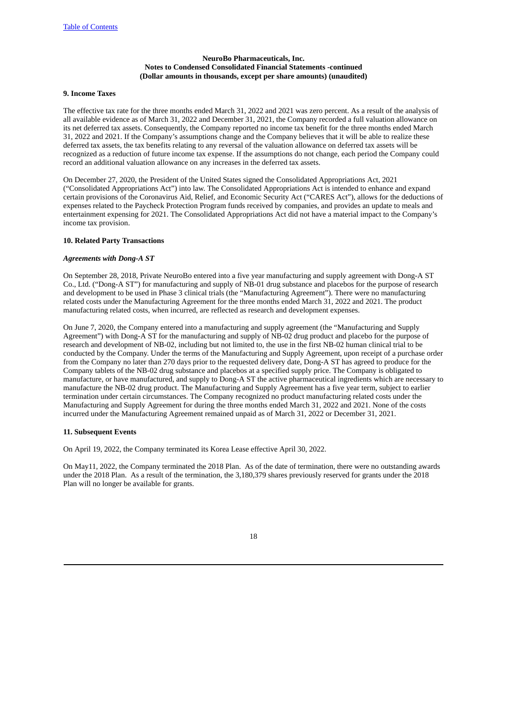#### **9. Income Taxes**

The effective tax rate for the three months ended March 31, 2022 and 2021 was zero percent. As a result of the analysis of all available evidence as of March 31, 2022 and December 31, 2021, the Company recorded a full valuation allowance on its net deferred tax assets. Consequently, the Company reported no income tax benefit for the three months ended March 31, 2022 and 2021. If the Company's assumptions change and the Company believes that it will be able to realize these deferred tax assets, the tax benefits relating to any reversal of the valuation allowance on deferred tax assets will be recognized as a reduction of future income tax expense. If the assumptions do not change, each period the Company could record an additional valuation allowance on any increases in the deferred tax assets.

On December 27, 2020, the President of the United States signed the Consolidated Appropriations Act, 2021 ("Consolidated Appropriations Act") into law. The Consolidated Appropriations Act is intended to enhance and expand certain provisions of the Coronavirus Aid, Relief, and Economic Security Act ("CARES Act"), allows for the deductions of expenses related to the Paycheck Protection Program funds received by companies, and provides an update to meals and entertainment expensing for 2021. The Consolidated Appropriations Act did not have a material impact to the Company's income tax provision.

#### **10. Related Party Transactions**

#### *Agreements with Dong-A ST*

On September 28, 2018, Private NeuroBo entered into a five year manufacturing and supply agreement with Dong-A ST Co., Ltd. ("Dong-A ST") for manufacturing and supply of NB-01 drug substance and placebos for the purpose of research and development to be used in Phase 3 clinical trials (the "Manufacturing Agreement"). There were no manufacturing related costs under the Manufacturing Agreement for the three months ended March 31, 2022 and 2021. The product manufacturing related costs, when incurred, are reflected as research and development expenses.

On June 7, 2020, the Company entered into a manufacturing and supply agreement (the "Manufacturing and Supply Agreement") with Dong-A ST for the manufacturing and supply of NB-02 drug product and placebo for the purpose of research and development of NB-02, including but not limited to, the use in the first NB-02 human clinical trial to be conducted by the Company. Under the terms of the Manufacturing and Supply Agreement, upon receipt of a purchase order from the Company no later than 270 days prior to the requested delivery date, Dong-A ST has agreed to produce for the Company tablets of the NB-02 drug substance and placebos at a specified supply price. The Company is obligated to manufacture, or have manufactured, and supply to Dong-A ST the active pharmaceutical ingredients which are necessary to manufacture the NB-02 drug product. The Manufacturing and Supply Agreement has a five year term, subject to earlier termination under certain circumstances. The Company recognized no product manufacturing related costs under the Manufacturing and Supply Agreement for during the three months ended March 31, 2022 and 2021. None of the costs incurred under the Manufacturing Agreement remained unpaid as of March 31, 2022 or December 31, 2021.

#### **11. Subsequent Events**

On April 19, 2022, the Company terminated its Korea Lease effective April 30, 2022.

On May11, 2022, the Company terminated the 2018 Plan. As of the date of termination, there were no outstanding awards under the 2018 Plan. As a result of the termination, the 3,180,379 shares previously reserved for grants under the 2018 Plan will no longer be available for grants.

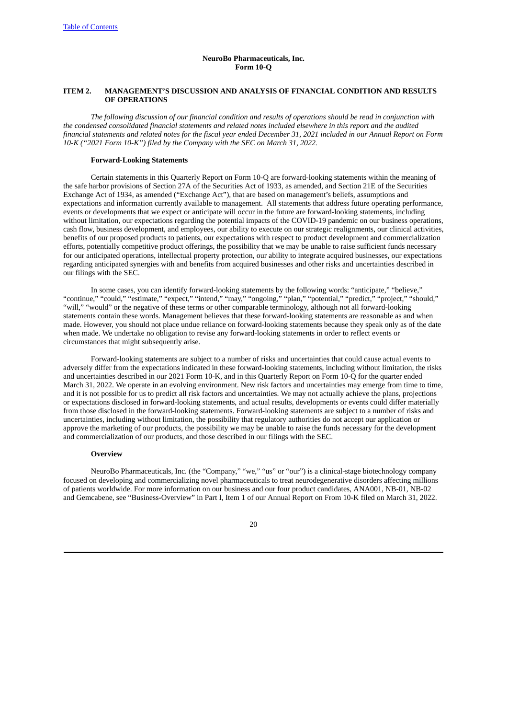## <span id="page-19-0"></span>**ITEM 2. MANAGEMENT'S DISCUSSION AND ANALYSIS OF FINANCIAL CONDITION AND RESULTS OF OPERATIONS**

The following discussion of our financial condition and results of operations should be read in conjunction with the condensed consolidated financial statements and related notes included elsewhere in this report and the audited financial statements and related notes for the fiscal year ended December 31, 2021 included in our Annual Report on Form *10-K ("2021 Form 10-K") filed by the Company with the SEC on March 31, 2022.*

#### **Forward-Looking Statements**

Certain statements in this Quarterly Report on Form 10-Q are forward-looking statements within the meaning of the safe harbor provisions of Section 27A of the Securities Act of 1933, as amended, and Section 21E of the Securities Exchange Act of 1934, as amended ("Exchange Act"), that are based on management's beliefs, assumptions and expectations and information currently available to management. All statements that address future operating performance, events or developments that we expect or anticipate will occur in the future are forward-looking statements, including without limitation, our expectations regarding the potential impacts of the COVID-19 pandemic on our business operations, cash flow, business development, and employees, our ability to execute on our strategic realignments, our clinical activities, benefits of our proposed products to patients, our expectations with respect to product development and commercialization efforts, potentially competitive product offerings, the possibility that we may be unable to raise sufficient funds necessary for our anticipated operations, intellectual property protection, our ability to integrate acquired businesses, our expectations regarding anticipated synergies with and benefits from acquired businesses and other risks and uncertainties described in our filings with the SEC.

In some cases, you can identify forward-looking statements by the following words: "anticipate," "believe," "continue," "could," "estimate," "expect," "intend," "may," "ongoing," "plan," "potential," "predict," "project," "should," "will," "would" or the negative of these terms or other comparable terminology, although not all forward-looking statements contain these words. Management believes that these forward-looking statements are reasonable as and when made. However, you should not place undue reliance on forward-looking statements because they speak only as of the date when made. We undertake no obligation to revise any forward-looking statements in order to reflect events or circumstances that might subsequently arise.

Forward-looking statements are subject to a number of risks and uncertainties that could cause actual events to adversely differ from the expectations indicated in these forward-looking statements, including without limitation, the risks and uncertainties described in our 2021 Form 10-K, and in this Quarterly Report on Form 10-Q for the quarter ended March 31, 2022. We operate in an evolving environment. New risk factors and uncertainties may emerge from time to time, and it is not possible for us to predict all risk factors and uncertainties. We may not actually achieve the plans, projections or expectations disclosed in forward-looking statements, and actual results, developments or events could differ materially from those disclosed in the forward-looking statements. Forward-looking statements are subject to a number of risks and uncertainties, including without limitation, the possibility that regulatory authorities do not accept our application or approve the marketing of our products, the possibility we may be unable to raise the funds necessary for the development and commercialization of our products, and those described in our filings with the SEC.

#### **Overview**

NeuroBo Pharmaceuticals, Inc. (the "Company," "we," "us" or "our") is a clinical-stage biotechnology company focused on developing and commercializing novel pharmaceuticals to treat neurodegenerative disorders affecting millions of patients worldwide. For more information on our business and our four product candidates, ANA001, NB-01, NB-02 and Gemcabene, see "Business-Overview" in Part I, Item 1 of our Annual Report on From 10-K filed on March 31, 2022.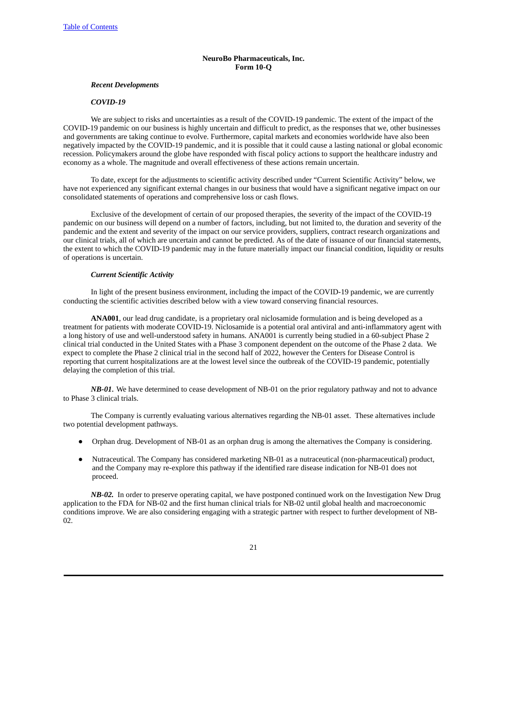#### *Recent Developments*

### *COVID-19*

We are subject to risks and uncertainties as a result of the COVID-19 pandemic. The extent of the impact of the COVID-19 pandemic on our business is highly uncertain and difficult to predict, as the responses that we, other businesses and governments are taking continue to evolve. Furthermore, capital markets and economies worldwide have also been negatively impacted by the COVID-19 pandemic, and it is possible that it could cause a lasting national or global economic recession. Policymakers around the globe have responded with fiscal policy actions to support the healthcare industry and economy as a whole. The magnitude and overall effectiveness of these actions remain uncertain.

To date, except for the adjustments to scientific activity described under "Current Scientific Activity" below, we have not experienced any significant external changes in our business that would have a significant negative impact on our consolidated statements of operations and comprehensive loss or cash flows.

Exclusive of the development of certain of our proposed therapies, the severity of the impact of the COVID-19 pandemic on our business will depend on a number of factors, including, but not limited to, the duration and severity of the pandemic and the extent and severity of the impact on our service providers, suppliers, contract research organizations and our clinical trials, all of which are uncertain and cannot be predicted. As of the date of issuance of our financial statements, the extent to which the COVID-19 pandemic may in the future materially impact our financial condition, liquidity or results of operations is uncertain.

### *Current Scientific Activity*

In light of the present business environment, including the impact of the COVID-19 pandemic, we are currently conducting the scientific activities described below with a view toward conserving financial resources.

**ANA001**, our lead drug candidate, is a proprietary oral niclosamide formulation and is being developed as a treatment for patients with moderate COVID-19. Niclosamide is a potential oral antiviral and anti-inflammatory agent with a long history of use and well-understood safety in humans. ANA001 is currently being studied in a 60-subject Phase 2 clinical trial conducted in the United States with a Phase 3 component dependent on the outcome of the Phase 2 data. We expect to complete the Phase 2 clinical trial in the second half of 2022, however the Centers for Disease Control is reporting that current hospitalizations are at the lowest level since the outbreak of the COVID-19 pandemic, potentially delaying the completion of this trial.

*NB-01.* We have determined to cease development of NB-01 on the prior regulatory pathway and not to advance to Phase 3 clinical trials.

The Company is currently evaluating various alternatives regarding the NB-01 asset. These alternatives include two potential development pathways.

- Orphan drug. Development of NB-01 as an orphan drug is among the alternatives the Company is considering.
- Nutraceutical. The Company has considered marketing NB-01 as a nutraceutical (non-pharmaceutical) product, and the Company may re-explore this pathway if the identified rare disease indication for NB-01 does not proceed.

*NB-02.* In order to preserve operating capital, we have postponed continued work on the Investigation New Drug application to the FDA for NB-02 and the first human clinical trials for NB-02 until global health and macroeconomic conditions improve. We are also considering engaging with a strategic partner with respect to further development of NB-02.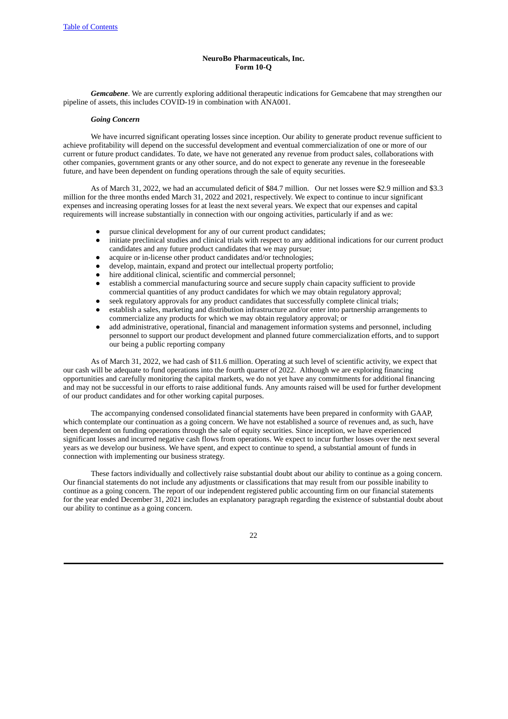*Gemcabene*. We are currently exploring additional therapeutic indications for Gemcabene that may strengthen our pipeline of assets, this includes COVID-19 in combination with ANA001.

### *Going Concern*

We have incurred significant operating losses since inception. Our ability to generate product revenue sufficient to achieve profitability will depend on the successful development and eventual commercialization of one or more of our current or future product candidates. To date, we have not generated any revenue from product sales, collaborations with other companies, government grants or any other source, and do not expect to generate any revenue in the foreseeable future, and have been dependent on funding operations through the sale of equity securities.

As of March 31, 2022, we had an accumulated deficit of \$84.7 million. Our net losses were \$2.9 million and \$3.3 million for the three months ended March 31, 2022 and 2021, respectively. We expect to continue to incur significant expenses and increasing operating losses for at least the next several years. We expect that our expenses and capital requirements will increase substantially in connection with our ongoing activities, particularly if and as we:

- pursue clinical development for any of our current product candidates;<br>• initiate preclinical studies and clinical trials with respect to any addition
- initiate preclinical studies and clinical trials with respect to any additional indications for our current product candidates and any future product candidates that we may pursue;
- acquire or in-license other product candidates and/or technologies;
- develop, maintain, expand and protect our intellectual property portfolio;
- hire additional clinical, scientific and commercial personnel;
- establish a commercial manufacturing source and secure supply chain capacity sufficient to provide commercial quantities of any product candidates for which we may obtain regulatory approval;
- seek regulatory approvals for any product candidates that successfully complete clinical trials;
- establish a sales, marketing and distribution infrastructure and/or enter into partnership arrangements to commercialize any products for which we may obtain regulatory approval; or
- add administrative, operational, financial and management information systems and personnel, including personnel to support our product development and planned future commercialization efforts, and to support our being a public reporting company

As of March 31, 2022, we had cash of \$11.6 million. Operating at such level of scientific activity, we expect that our cash will be adequate to fund operations into the fourth quarter of 2022. Although we are exploring financing opportunities and carefully monitoring the capital markets, we do not yet have any commitments for additional financing and may not be successful in our efforts to raise additional funds. Any amounts raised will be used for further development of our product candidates and for other working capital purposes.

The accompanying condensed consolidated financial statements have been prepared in conformity with GAAP, which contemplate our continuation as a going concern. We have not established a source of revenues and, as such, have been dependent on funding operations through the sale of equity securities. Since inception, we have experienced significant losses and incurred negative cash flows from operations. We expect to incur further losses over the next several years as we develop our business. We have spent, and expect to continue to spend, a substantial amount of funds in connection with implementing our business strategy.

These factors individually and collectively raise substantial doubt about our ability to continue as a going concern. Our financial statements do not include any adjustments or classifications that may result from our possible inability to continue as a going concern. The report of our independent registered public accounting firm on our financial statements for the year ended December 31, 2021 includes an explanatory paragraph regarding the existence of substantial doubt about our ability to continue as a going concern.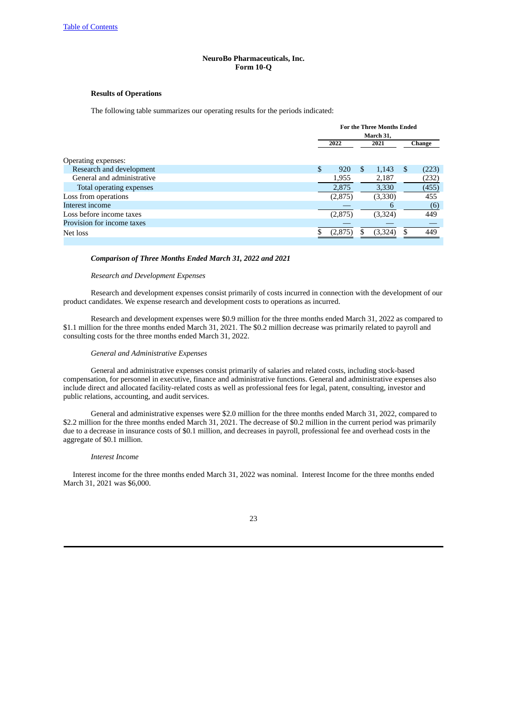## **Results of Operations**

The following table summarizes our operating results for the periods indicated:

|                            |    | <b>For the Three Months Ended</b><br>March 31. |     |         |        |       |
|----------------------------|----|------------------------------------------------|-----|---------|--------|-------|
|                            |    |                                                |     |         |        |       |
|                            |    | 2022<br>2021                                   |     |         | Change |       |
| Operating expenses:        |    |                                                |     |         |        |       |
| Research and development   | \$ | 920                                            | \$. | 1,143   | -S     | (223) |
| General and administrative |    | 1,955                                          |     | 2,187   |        | (232) |
| Total operating expenses   |    | 2,875                                          |     | 3,330   |        | (455) |
| Loss from operations       |    | (2,875)                                        |     | (3,330) |        | 455   |
| Interest income            |    |                                                |     | b       |        | (6)   |
| Loss before income taxes   |    | (2,875)                                        |     | (3,324) |        | 449   |
| Provision for income taxes |    |                                                |     |         |        |       |
| Net loss                   |    | (2,875)                                        |     | (3,324) |        | 449   |
|                            |    |                                                |     |         |        |       |

### *Comparison of Three Months Ended March 31, 2022 and 2021*

## *Research and Development Expenses*

Research and development expenses consist primarily of costs incurred in connection with the development of our product candidates. We expense research and development costs to operations as incurred.

Research and development expenses were \$0.9 million for the three months ended March 31, 2022 as compared to \$1.1 million for the three months ended March 31, 2021. The \$0.2 million decrease was primarily related to payroll and consulting costs for the three months ended March 31, 2022.

#### *General and Administrative Expenses*

General and administrative expenses consist primarily of salaries and related costs, including stock-based compensation, for personnel in executive, finance and administrative functions. General and administrative expenses also include direct and allocated facility-related costs as well as professional fees for legal, patent, consulting, investor and public relations, accounting, and audit services.

General and administrative expenses were \$2.0 million for the three months ended March 31, 2022, compared to \$2.2 million for the three months ended March 31, 2021. The decrease of \$0.2 million in the current period was primarily due to a decrease in insurance costs of \$0.1 million, and decreases in payroll, professional fee and overhead costs in the aggregate of \$0.1 million.

#### *Interest Income*

Interest income for the three months ended March 31, 2022 was nominal. Interest Income for the three months ended March 31, 2021 was \$6,000.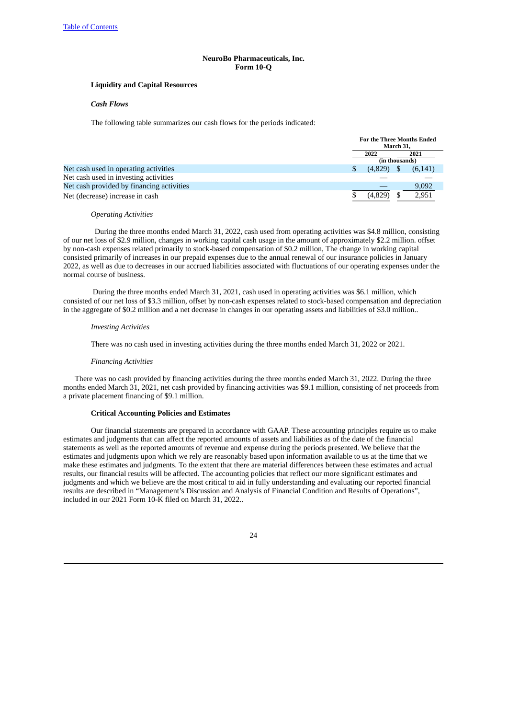## **Liquidity and Capital Resources**

## *Cash Flows*

The following table summarizes our cash flows for the periods indicated:

|                                           | <b>For the Three Months Ended</b><br>March 31, |         |  |          |
|-------------------------------------------|------------------------------------------------|---------|--|----------|
|                                           |                                                | 2022    |  | 2021     |
|                                           | (in thousands)                                 |         |  |          |
| Net cash used in operating activities     |                                                | (4,829) |  | (6, 141) |
| Net cash used in investing activities     |                                                |         |  |          |
| Net cash provided by financing activities |                                                |         |  | 9,092    |
| Net (decrease) increase in cash           |                                                | (4,829) |  | 2,951    |

### *Operating Activities*

During the three months ended March 31, 2022, cash used from operating activities was \$4.8 million, consisting of our net loss of \$2.9 million, changes in working capital cash usage in the amount of approximately \$2.2 million. offset by non-cash expenses related primarily to stock-based compensation of \$0.2 million, The change in working capital consisted primarily of increases in our prepaid expenses due to the annual renewal of our insurance policies in January 2022, as well as due to decreases in our accrued liabilities associated with fluctuations of our operating expenses under the normal course of business.

During the three months ended March 31, 2021, cash used in operating activities was \$6.1 million, which consisted of our net loss of \$3.3 million, offset by non-cash expenses related to stock-based compensation and depreciation in the aggregate of \$0.2 million and a net decrease in changes in our operating assets and liabilities of \$3.0 million..

#### *Investing Activities*

There was no cash used in investing activities during the three months ended March 31, 2022 or 2021.

#### *Financing Activities*

There was no cash provided by financing activities during the three months ended March 31, 2022. During the three months ended March 31, 2021, net cash provided by financing activities was \$9.1 million, consisting of net proceeds from a private placement financing of \$9.1 million.

#### **Critical Accounting Policies and Estimates**

Our financial statements are prepared in accordance with GAAP. These accounting principles require us to make estimates and judgments that can affect the reported amounts of assets and liabilities as of the date of the financial statements as well as the reported amounts of revenue and expense during the periods presented. We believe that the estimates and judgments upon which we rely are reasonably based upon information available to us at the time that we make these estimates and judgments. To the extent that there are material differences between these estimates and actual results, our financial results will be affected. The accounting policies that reflect our more significant estimates and judgments and which we believe are the most critical to aid in fully understanding and evaluating our reported financial results are described in "Management's Discussion and Analysis of Financial Condition and Results of Operations", included in our 2021 Form 10-K filed on March 31, 2022..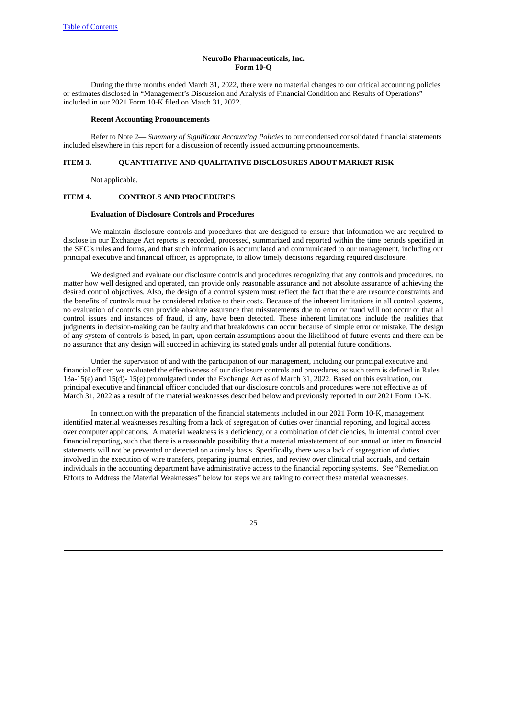During the three months ended March 31, 2022, there were no material changes to our critical accounting policies or estimates disclosed in "Management's Discussion and Analysis of Financial Condition and Results of Operations" included in our 2021 Form 10-K filed on March 31, 2022.

#### **Recent Accounting Pronouncements**

Refer to Note 2— *Summary of Significant Accounting Policies* to our condensed consolidated financial statements included elsewhere in this report for a discussion of recently issued accounting pronouncements.

## <span id="page-24-0"></span>**ITEM 3. QUANTITATIVE AND QUALITATIVE DISCLOSURES ABOUT MARKET RISK**

Not applicable.

## <span id="page-24-1"></span>**ITEM 4. CONTROLS AND PROCEDURES**

## **Evaluation of Disclosure Controls and Procedures**

We maintain disclosure controls and procedures that are designed to ensure that information we are required to disclose in our Exchange Act reports is recorded, processed, summarized and reported within the time periods specified in the SEC's rules and forms, and that such information is accumulated and communicated to our management, including our principal executive and financial officer, as appropriate, to allow timely decisions regarding required disclosure.

We designed and evaluate our disclosure controls and procedures recognizing that any controls and procedures, no matter how well designed and operated, can provide only reasonable assurance and not absolute assurance of achieving the desired control objectives. Also, the design of a control system must reflect the fact that there are resource constraints and the benefits of controls must be considered relative to their costs. Because of the inherent limitations in all control systems, no evaluation of controls can provide absolute assurance that misstatements due to error or fraud will not occur or that all control issues and instances of fraud, if any, have been detected. These inherent limitations include the realities that judgments in decision-making can be faulty and that breakdowns can occur because of simple error or mistake. The design of any system of controls is based, in part, upon certain assumptions about the likelihood of future events and there can be no assurance that any design will succeed in achieving its stated goals under all potential future conditions.

Under the supervision of and with the participation of our management, including our principal executive and financial officer, we evaluated the effectiveness of our disclosure controls and procedures, as such term is defined in Rules 13a-15(e) and 15(d)- 15(e) promulgated under the Exchange Act as of March 31, 2022. Based on this evaluation, our principal executive and financial officer concluded that our disclosure controls and procedures were not effective as of March 31, 2022 as a result of the material weaknesses described below and previously reported in our 2021 Form 10-K.

In connection with the preparation of the financial statements included in our 2021 Form 10-K, management identified material weaknesses resulting from a lack of segregation of duties over financial reporting, and logical access over computer applications. A material weakness is a deficiency, or a combination of deficiencies, in internal control over financial reporting, such that there is a reasonable possibility that a material misstatement of our annual or interim financial statements will not be prevented or detected on a timely basis. Specifically, there was a lack of segregation of duties involved in the execution of wire transfers, preparing journal entries, and review over clinical trial accruals, and certain individuals in the accounting department have administrative access to the financial reporting systems. See "Remediation Efforts to Address the Material Weaknesses" below for steps we are taking to correct these material weaknesses.

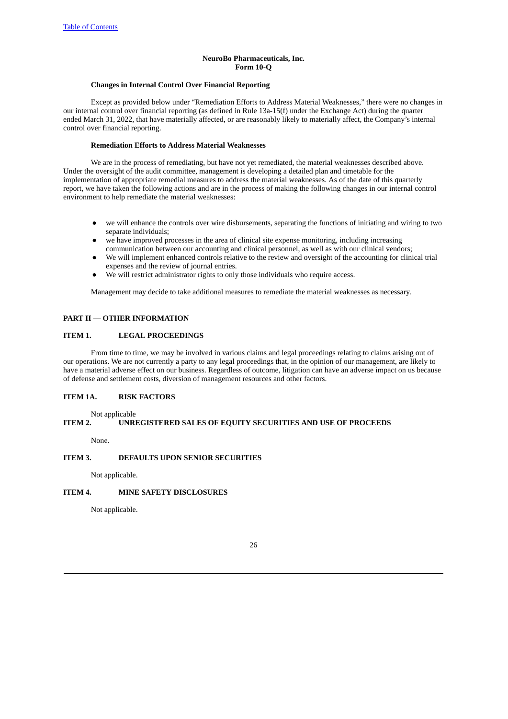## **Changes in Internal Control Over Financial Reporting**

Except as provided below under "Remediation Efforts to Address Material Weaknesses," there were no changes in our internal control over financial reporting (as defined in Rule 13a-15(f) under the Exchange Act) during the quarter ended March 31, 2022, that have materially affected, or are reasonably likely to materially affect, the Company's internal control over financial reporting.

## **Remediation Efforts to Address Material Weaknesses**

We are in the process of remediating, but have not yet remediated, the material weaknesses described above. Under the oversight of the audit committee, management is developing a detailed plan and timetable for the implementation of appropriate remedial measures to address the material weaknesses. As of the date of this quarterly report, we have taken the following actions and are in the process of making the following changes in our internal control environment to help remediate the material weaknesses:

- we will enhance the controls over wire disbursements, separating the functions of initiating and wiring to two separate individuals;
- we have improved processes in the area of clinical site expense monitoring, including increasing communication between our accounting and clinical personnel, as well as with our clinical vendors;
- We will implement enhanced controls relative to the review and oversight of the accounting for clinical trial expenses and the review of journal entries.
- We will restrict administrator rights to only those individuals who require access.

Management may decide to take additional measures to remediate the material weaknesses as necessary.

## <span id="page-25-0"></span>**PART II — OTHER INFORMATION**

## <span id="page-25-1"></span>**ITEM 1. LEGAL PROCEEDINGS**

From time to time, we may be involved in various claims and legal proceedings relating to claims arising out of our operations. We are not currently a party to any legal proceedings that, in the opinion of our management, are likely to have a material adverse effect on our business. Regardless of outcome, litigation can have an adverse impact on us because of defense and settlement costs, diversion of management resources and other factors.

## <span id="page-25-2"></span>**ITEM 1A. RISK FACTORS**

## <span id="page-25-3"></span>Not applicable<br>ITEM 2. UNR **ITEM 2. UNREGISTERED SALES OF EQUITY SECURITIES AND USE OF PROCEEDS**

None.

## <span id="page-25-4"></span>**ITEM 3. DEFAULTS UPON SENIOR SECURITIES**

Not applicable.

## <span id="page-25-5"></span>**ITEM 4. MINE SAFETY DISCLOSURES**

Not applicable.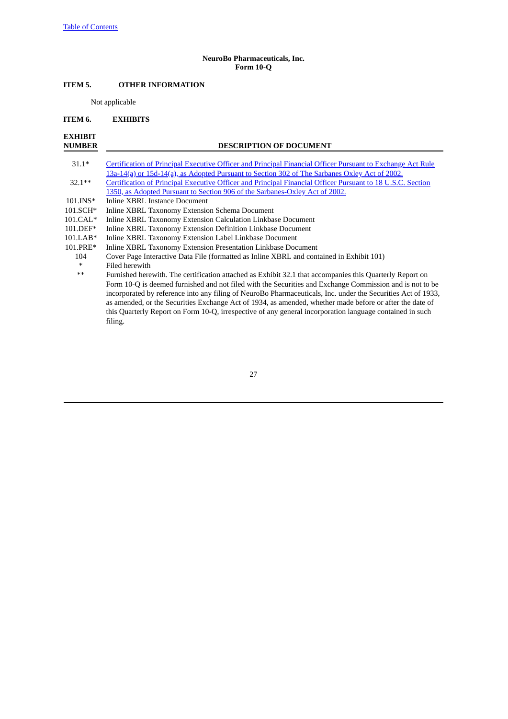# <span id="page-26-0"></span>**ITEM 5. OTHER INFORMATION**

Not applicable

# <span id="page-26-1"></span>**ITEM 6. EXHIBITS**

| <b>EXHIBIT</b>  |                                                                                                              |
|-----------------|--------------------------------------------------------------------------------------------------------------|
| <b>NUMBER</b>   | <b>DESCRIPTION OF DOCUMENT</b>                                                                               |
|                 |                                                                                                              |
| $31.1*$         | Certification of Principal Executive Officer and Principal Financial Officer Pursuant to Exchange Act Rule   |
|                 | 13a-14(a) or 15d-14(a), as Adopted Pursuant to Section 302 of The Sarbanes Oxley Act of 2002.                |
| $32.1**$        | Certification of Principal Executive Officer and Principal Financial Officer Pursuant to 18 U.S.C. Section   |
|                 | 1350, as Adopted Pursuant to Section 906 of the Sarbanes-Oxley Act of 2002.                                  |
| $101.$ IN $S^*$ | Inline XBRL Instance Document                                                                                |
| 101.SCH*        | Inline XBRL Taxonomy Extension Schema Document                                                               |
| $101.CAL*$      | Inline XBRL Taxonomy Extension Calculation Linkbase Document                                                 |
| 101.DEF*        | Inline XBRL Taxonomy Extension Definition Linkbase Document                                                  |
| $101.LAB*$      | Inline XBRL Taxonomy Extension Label Linkbase Document                                                       |
| 101.PRE*        | Inline XBRL Taxonomy Extension Presentation Linkbase Document                                                |
| 104             | Cover Page Interactive Data File (formatted as Inline XBRL and contained in Exhibit 101)                     |
| $\ast$          | Filed herewith                                                                                               |
| $**$            | Furnished herewith. The certification attached as Exhibit 32.1 that accompanies this Quarterly Report on     |
|                 | Form 10-Q is deemed furnished and not filed with the Securities and Exchange Commission and is not to be     |
|                 | incorporated by reference into any filing of NeuroBo Pharmaceuticals, Inc. under the Securities Act of 1933, |
|                 | as amended, or the Securities Exchange Act of 1934, as amended, whether made before or after the date of     |
|                 | this Quarterly Report on Form 10-Q, irrespective of any general incorporation language contained in such     |
|                 | filing.                                                                                                      |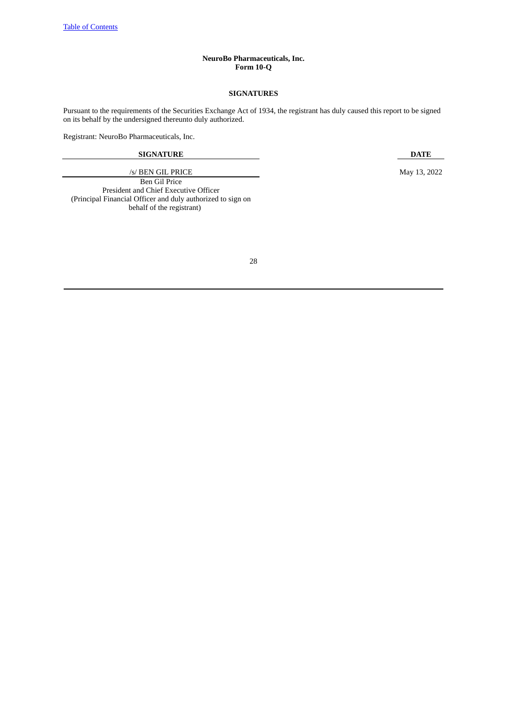## **SIGNATURES**

<span id="page-27-0"></span>Pursuant to the requirements of the Securities Exchange Act of 1934, the registrant has duly caused this report to be signed on its behalf by the undersigned thereunto duly authorized.

Registrant: NeuroBo Pharmaceuticals, Inc.

# **SIGNATURE DATE**

/s/ BEN GIL PRICE May 13, 2022

Ben Gil Price President and Chief Executive Officer (Principal Financial Officer and duly authorized to sign on behalf of the registrant)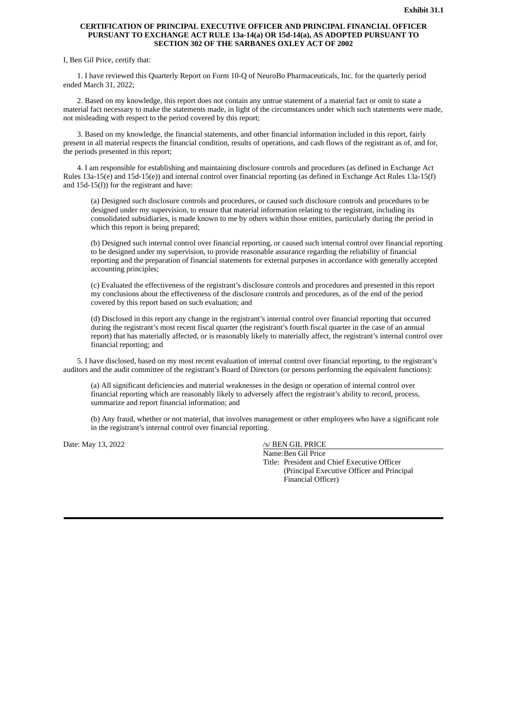## <span id="page-28-0"></span>**CERTIFICATION OF PRINCIPAL EXECUTIVE OFFICER AND PRINCIPAL FINANCIAL OFFICER PURSUANT TO EXCHANGE ACT RULE 13a-14(a) OR 15d-14(a), AS ADOPTED PURSUANT TO SECTION 302 OF THE SARBANES OXLEY ACT OF 2002**

## I, Ben Gil Price, certify that:

1. I have reviewed this Quarterly Report on Form 10-Q of NeuroBo Pharmaceuticals, Inc. for the quarterly period ended March 31, 2022;

2. Based on my knowledge, this report does not contain any untrue statement of a material fact or omit to state a material fact necessary to make the statements made, in light of the circumstances under which such statements were made, not misleading with respect to the period covered by this report;

3. Based on my knowledge, the financial statements, and other financial information included in this report, fairly present in all material respects the financial condition, results of operations, and cash flows of the registrant as of, and for, the periods presented in this report;

4. I am responsible for establishing and maintaining disclosure controls and procedures (as defined in Exchange Act Rules 13a-15(e) and 15d-15(e)) and internal control over financial reporting (as defined in Exchange Act Rules 13a-15(f) and 15d-15(f)) for the registrant and have:

(a) Designed such disclosure controls and procedures, or caused such disclosure controls and procedures to be designed under my supervision, to ensure that material information relating to the registrant, including its consolidated subsidiaries, is made known to me by others within those entities, particularly during the period in which this report is being prepared;

(b) Designed such internal control over financial reporting, or caused such internal control over financial reporting to be designed under my supervision, to provide reasonable assurance regarding the reliability of financial reporting and the preparation of financial statements for external purposes in accordance with generally accepted accounting principles;

(c) Evaluated the effectiveness of the registrant's disclosure controls and procedures and presented in this report my conclusions about the effectiveness of the disclosure controls and procedures, as of the end of the period covered by this report based on such evaluation; and

(d) Disclosed in this report any change in the registrant's internal control over financial reporting that occurred during the registrant's most recent fiscal quarter (the registrant's fourth fiscal quarter in the case of an annual report) that has materially affected, or is reasonably likely to materially affect, the registrant's internal control over financial reporting; and

5. I have disclosed, based on my most recent evaluation of internal control over financial reporting, to the registrant's auditors and the audit committee of the registrant's Board of Directors (or persons performing the equivalent functions):

(a) All significant deficiencies and material weaknesses in the design or operation of internal control over financial reporting which are reasonably likely to adversely affect the registrant's ability to record, process, summarize and report financial information; and

(b) Any fraud, whether or not material, that involves management or other employees who have a significant role in the registrant's internal control over financial reporting.

Date: May 13, 2022 /s/ BEN GIL PRICE

Name:Ben Gil Price Title: President and Chief Executive Officer (Principal Executive Officer and Principal Financial Officer)